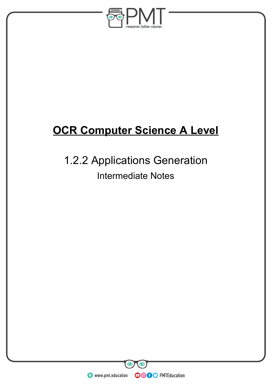

# **OCR Computer Science A Level**

# 1.2.2 Applications Generation Intermediate Notes

**WWW.pmt.education**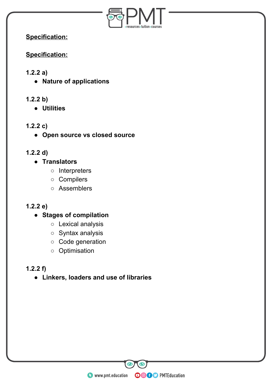

**Specification:** 

**Specification:** 

## **1.2.2 a)**

- **Nature of applications**
- **1.2.2 b)** 
	- **Utilities**
- **1.2.2 c)** 
	- **Open source vs closed source**
- **1.2.2 d)** 
	- **Translators** 
		- Interpreters
		- Compilers
		- Assemblers

# **1.2.2 e)**

- **Stages of compilation** 
	- Lexical analysis
	- Syntax analysis
	- Code generation
	- Optimisation

# **1.2.2 f)**

**● Linkers, loaders and use of libraries** 

**WWW.pmt.education** 

 $\bigcirc$ 

 $\bullet$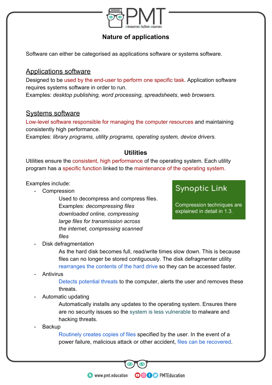

#### **Nature of applications**

Software can either be categorised as applications software or systems software.

#### Applications software

Designed to be used by the end-user to perform one specific task. Application software requires systems software in order to run.

Examples: *desktop publishing, word processing, spreadsheets*, *web browsers.*

#### Systems software

Low-level software responsible for managing the computer resources and maintaining consistently high performance.

Examples: *library programs, utility programs, operating system, device drivers.*

#### **Utilities**

Utilities ensure the consistent, high performance of the operating system. Each utility program has a specific function linked to the maintenance of the operating system.

Examples include:

- Compression

Used to decompress and compress files. Examples: *decompressing files downloaded online, compressing large files for transmission across the internet, compressing scanned files*

# **Synoptic Link**

Compression techniques are explained in detail in 1.3.

Disk defragmentation

As the hard disk becomes full, read/write times slow down. This is because files can no longer be stored contiguously. The disk defragmenter utility rearranges the contents of the hard drive so they can be accessed faster.

**Antivirus** 

Detects potential threats to the computer, alerts the user and removes these threats.

- Automatic updating

Automatically installs any updates to the operating system. Ensures there are no security issues so the system is less vulnerable to malware and hacking threats.

**Backup** 

Routinely creates copies of files specified by the user. In the event of a power failure, malicious attack or other accident, files can be recovered.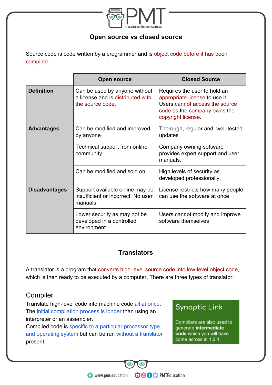

#### **Open source vs closed source**

Source code is code written by a programmer and is object code before it has been compiled.

|                      | <b>Open source</b>                                                                     | <b>Closed Source</b>                                                                                                                                  |
|----------------------|----------------------------------------------------------------------------------------|-------------------------------------------------------------------------------------------------------------------------------------------------------|
| <b>Definition</b>    | Can be used by anyone without<br>a license and is distributed with<br>the source code. | Requires the user to hold an<br>appropriate license to use it.<br>Users cannot access the source<br>code as the company owns the<br>copyright license |
| <b>Advantages</b>    | Can be modified and improved<br>by anyone                                              | Thorough, regular and well-tested<br>updates                                                                                                          |
|                      | Technical support from online<br>community                                             | Company owning software<br>provides expert support and user<br>manuals.                                                                               |
|                      | Can be modified and sold on                                                            | High levels of security as<br>developed professionally.                                                                                               |
| <b>Disadvantages</b> | Support available online may be<br>insufficient or incorrect. No user<br>manuals.      | License restricts how many people<br>can use the software at once                                                                                     |
|                      | Lower security as may not be<br>developed in a controlled<br>environment               | Users cannot modify and improve<br>software themselves                                                                                                |

#### **Translators**

A translator is a program that converts high-level source code into low-level object code, which is then ready to be executed by a computer. There are three types of translator:

**OOOO** PMTEducation

#### **Compiler**

Translate high-level code into machine code all at once. The initial compilation process is longer than using an interpreter or an assembler.

Compiled code is specific to a particular processor type and operating system but can be run without a translator present.

# **Synoptic Link**

Compilers are also used to generate intermediate code which you will have come across in 1.2.1.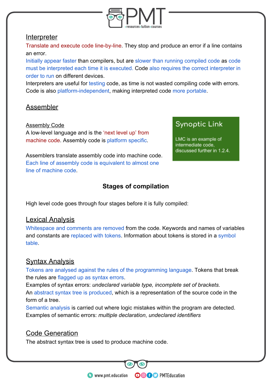

#### **Interpreter**

Translate and execute code line-by-line. They stop and produce an error if a line contains an error.

Initially appear faster than compilers, but are slower than running compiled code as code must be interpreted each time it is executed. Code also requires the correct interpreter in order to run on different devices.

Interpreters are useful for testing code, as time is not wasted compiling code with errors. Code is also platform-independent, making interpreted code more portable.

# Assembler

Assembly Code

A low-level language and is the 'next level up' from machine code. Assembly code is platform specific.

Assemblers translate assembly code into machine code. Each line of assembly code is equivalent to almost one line of machine code.

## **Stages of compilation**

High level code goes through four stages before it is fully compiled:

#### **Lexical Analysis**

Whitespace and comments are removed from the code. Keywords and names of variables and constants are replaced with tokens. Information about tokens is stored in a symbol table.

#### **Syntax Analysis**

Tokens are analysed against the rules of the programming language. Tokens that break the rules are flagged up as syntax errors.

Examples of syntax errors: *undeclared variable type, incomplete set of brackets.*  An abstract syntax tree is produced, which is a representation of the source code in the form of a tree.

Semantic analysis is carried out where logic mistakes within the program are detected. Examples of semantic errors: *multiple declaration*, *undeclared identifiers*

**OOOO** PMTEducation

#### Code Generation

The abstract syntax tree is used to produce machine code.

# **Synoptic Link**

LMC is an example of intermediate code, discussed further in 1.2.4.